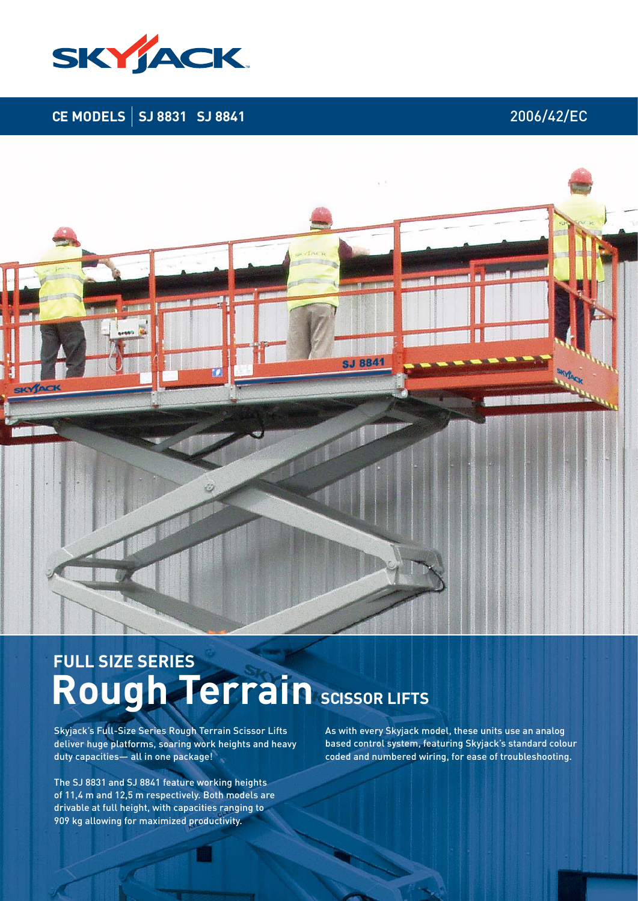

## **CE MODELS | SJ 8831 SJ 8841** 2006/42/EC



# Rough **Terrain** SCISSOR LIFTS **FULL SIZE SERIES**

Skyjack's Full-Size Series Rough Terrain Scissor Lifts deliver huge platforms, soaring work heights and heavy duty capacities— all in one package!

The SJ 8831 and SJ 8841 feature working heights of 11,4 m and 12,5 m respectively. Both models are drivable at full height, with capacities ranging to 909 kg allowing for maximized productivity.

As with every Skyjack model, these units use an analog based control system, featuring Skyjack's standard colour coded and numbered wiring, for ease of troubleshooting.